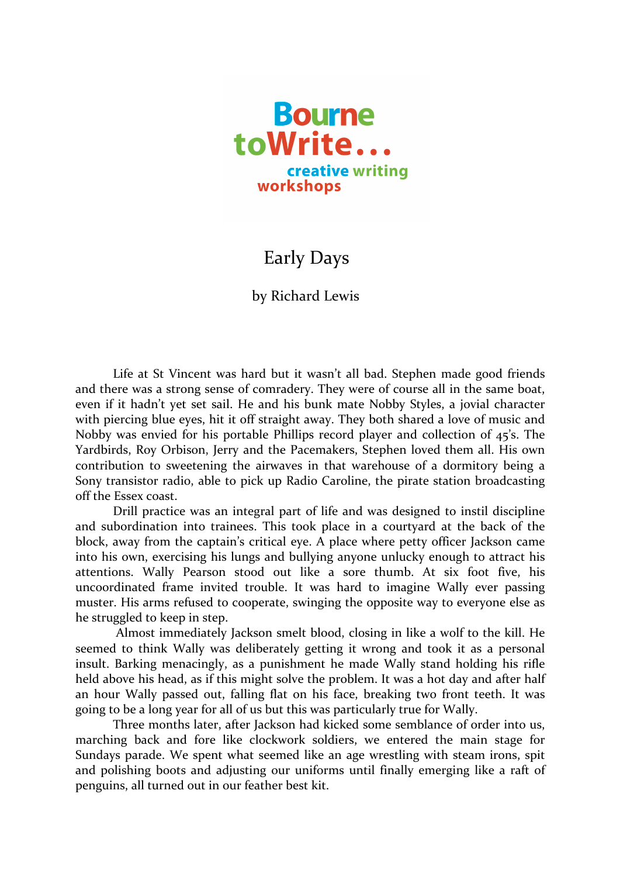

## Early Days

## by Richard Lewis

Life at St Vincent was hard but it wasn't all bad. Stephen made good friends and there was a strong sense of comradery. They were of course all in the same boat, even if it hadn't yet set sail. He and his bunk mate Nobby Styles, a jovial character with piercing blue eyes, hit it off straight away. They both shared a love of music and Nobby was envied for his portable Phillips record player and collection of  $45$ 's. The Yardbirds, Roy Orbison, Jerry and the Pacemakers, Stephen loved them all. His own contribution to sweetening the airwaves in that warehouse of a dormitory being a Sony transistor radio, able to pick up Radio Caroline, the pirate station broadcasting off the Essex coast.

Drill practice was an integral part of life and was designed to instil discipline and subordination into trainees. This took place in a courtyard at the back of the block, away from the captain's critical eye. A place where petty officer Jackson came into his own, exercising his lungs and bullying anyone unlucky enough to attract his attentions. Wally Pearson stood out like a sore thumb. At six foot five, his uncoordinated frame invited trouble. It was hard to imagine Wally ever passing muster. His arms refused to cooperate, swinging the opposite way to everyone else as he struggled to keep in step.

Almost immediately Jackson smelt blood, closing in like a wolf to the kill. He seemed to think Wally was deliberately getting it wrong and took it as a personal insult. Barking menacingly, as a punishment he made Wally stand holding his rifle held above his head, as if this might solve the problem. It was a hot day and after half an hour Wally passed out, falling flat on his face, breaking two front teeth. It was going to be a long year for all of us but this was particularly true for Wally.

Three months later, after Jackson had kicked some semblance of order into us, marching back and fore like clockwork soldiers, we entered the main stage for Sundays parade. We spent what seemed like an age wrestling with steam irons, spit and polishing boots and adjusting our uniforms until finally emerging like a raft of penguins, all turned out in our feather best kit.